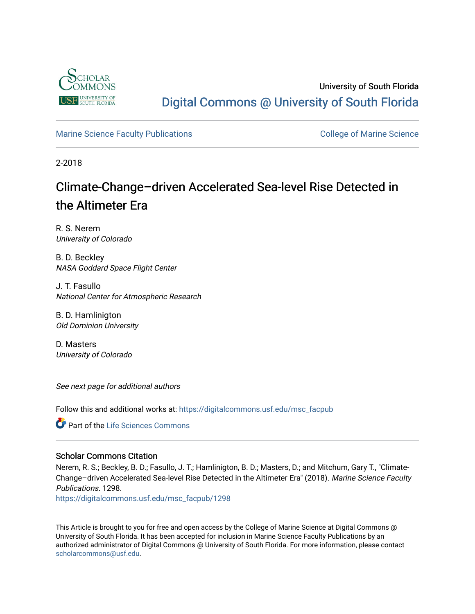

## University of South Florida [Digital Commons @ University of South Florida](https://digitalcommons.usf.edu/)

### [Marine Science Faculty Publications](https://digitalcommons.usf.edu/msc_facpub) **College of Marine Science** College of Marine Science

2-2018

## Climate-Change–driven Accelerated Sea-level Rise Detected in the Altimeter Era

R. S. Nerem University of Colorado

B. D. Beckley NASA Goddard Space Flight Center

J. T. Fasullo National Center for Atmospheric Research

B. D. Hamlinigton Old Dominion University

D. Masters University of Colorado

See next page for additional authors

Follow this and additional works at: [https://digitalcommons.usf.edu/msc\\_facpub](https://digitalcommons.usf.edu/msc_facpub?utm_source=digitalcommons.usf.edu%2Fmsc_facpub%2F1298&utm_medium=PDF&utm_campaign=PDFCoverPages) 

**Part of the Life Sciences Commons** 

### Scholar Commons Citation

Nerem, R. S.; Beckley, B. D.; Fasullo, J. T.; Hamlinigton, B. D.; Masters, D.; and Mitchum, Gary T., "Climate-Change–driven Accelerated Sea-level Rise Detected in the Altimeter Era" (2018). Marine Science Faculty Publications. 1298.

[https://digitalcommons.usf.edu/msc\\_facpub/1298](https://digitalcommons.usf.edu/msc_facpub/1298?utm_source=digitalcommons.usf.edu%2Fmsc_facpub%2F1298&utm_medium=PDF&utm_campaign=PDFCoverPages) 

This Article is brought to you for free and open access by the College of Marine Science at Digital Commons @ University of South Florida. It has been accepted for inclusion in Marine Science Faculty Publications by an authorized administrator of Digital Commons @ University of South Florida. For more information, please contact [scholarcommons@usf.edu.](mailto:scholarcommons@usf.edu)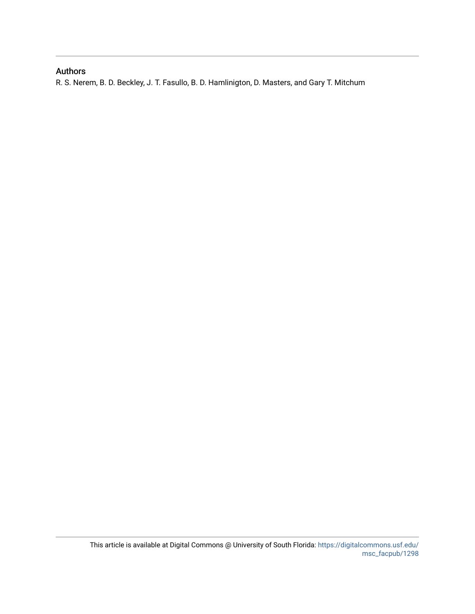## Authors

R. S. Nerem, B. D. Beckley, J. T. Fasullo, B. D. Hamlinigton, D. Masters, and Gary T. Mitchum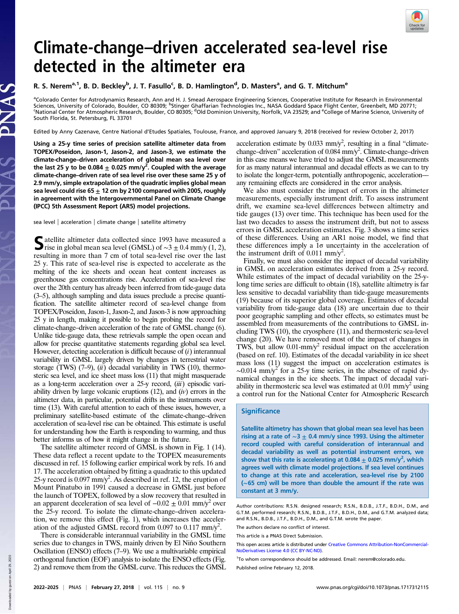

# Climate-change–driven accelerated sea-level rise detected in the altimeter era

### R. S. Nerem<sup>a, 1</sup>, B. D. Beckley<sup>b</sup>, J. T. Fasullo<sup>c</sup>, B. D. Hamlington<sup>d</sup>, D. Masters<sup>a</sup>, and G. T. Mitchum<sup>e</sup>

<sup>a</sup>Colorado Center for Astrodynamics Research, Ann and H. J. Smead Aerospace Engineering Sciences, Cooperative Institute for Research in Environmental<br>Sciences, University of Colorado, Boulder, CO 80309; <sup>b</sup>Stinger Ghaffar South Florida, St. Petersburg, FL 33701

Edited by Anny Cazenave, Centre National d'Etudes Spatiales, Toulouse, France, and approved January 9, 2018 (received for review October 2, 2017)

Using a 25-y time series of precision satellite altimeter data from TOPEX/Poseidon, Jason-1, Jason-2, and Jason-3, we estimate the climate-change–driven acceleration of global mean sea level over the last 25 y to be 0.084  $\pm$  0.025 mm/y<sup>2</sup>. Coupled with the average climate-change–driven rate of sea level rise over these same 25 y of 2.9 mm/y, simple extrapolation of the quadratic implies global mean sea level could rise 65  $\pm$  12 cm by 2100 compared with 2005, roughly in agreement with the Intergovernmental Panel on Climate Change (IPCC) 5th Assessment Report (AR5) model projections.

sea level | acceleration | climate change | satellite altimetry

Satellite altimeter data collected since 1993 have measured a<br>rise in global mean sea level (GMSL) of ∼3 ± 0.4 mm/y (1, 2), resulting in more than 7 cm of total sea-level rise over the last 25 y. This rate of sea-level rise is expected to accelerate as the melting of the ice sheets and ocean heat content increases as greenhouse gas concentrations rise. Acceleration of sea-level rise over the 20th century has already been inferred from tide-gauge data (3–5), although sampling and data issues preclude a precise quantification. The satellite altimeter record of sea-level change from TOPEX/Poseidon, Jason-1, Jason-2, and Jason-3 is now approaching 25 y in length, making it possible to begin probing the record for climate-change–driven acceleration of the rate of GMSL change (6). Unlike tide-gauge data, these retrievals sample the open ocean and allow for precise quantitative statements regarding global sea level. However, detecting acceleration is difficult because of  $(i)$  interannual variability in GMSL largely driven by changes in terrestrial water storage (TWS)  $(7-9)$ ,  $(ii)$  decadal variability in TWS  $(10)$ , thermosteric sea level, and ice sheet mass loss (11) that might masquerade as a long-term acceleration over a 25-y record, (iii) episodic variability driven by large volcanic eruptions  $(12)$ , and  $(iv)$  errors in the altimeter data, in particular, potential drifts in the instruments over time (13). With careful attention to each of these issues, however, a preliminary satellite-based estimate of the climate-change–driven acceleration of sea-level rise can be obtained. This estimate is useful for understanding how the Earth is responding to warming, and thus better informs us of how it might change in the future.

The satellite altimeter record of GMSL is shown in Fig. 1 (14). These data reflect a recent update to the TOPEX measurements discussed in ref. 15 following earlier empirical work by refs. 16 and 17. The acceleration obtained by fitting a quadratic to this updated 25-y record is  $0.097$  mm/y<sup>2</sup>. As described in ref. 12, the eruption of Mount Pinatubo in 1991 caused a decrease in GMSL just before the launch of TOPEX, followed by a slow recovery that resulted in an apparent deceleration of sea level of  $-0.02 \pm 0.01$  mm/y<sup>2</sup> over the 25-y record. To isolate the climate-change–driven acceleration, we remove this effect (Fig. 1), which increases the acceleration of the adjusted GMSL record from 0.097 to 0.117 mm/ $y^2$ .

There is considerable interannual variability in the GMSL time series due to changes in TWS, mainly driven by El Niño Southern Oscillation (ENSO) effects (7–9). We use a multivariable empirical orthogonal function (EOF) analysis to isolate the ENSO effects (Fig. 2) and remove them from the GMSL curve. This reduces the GMSL

acceleration estimate by  $0.033$  mm/y<sup>2</sup>, resulting in a final "climatechange-driven" acceleration of 0.084 mm/y<sup>2</sup>. Climate-change-driven in this case means we have tried to adjust the GMSL measurements for as many natural interannual and decadal effects as we can to try to isolate the longer-term, potentially anthropogenic, acceleration–– any remaining effects are considered in the error analysis.

We also must consider the impact of errors in the altimeter measurements, especially instrument drift. To assess instrument drift, we examine sea-level differences between altimetry and tide gauges (13) over time. This technique has been used for the last two decades to assess the instrument drift, but not to assess errors in GMSL acceleration estimates. Fig. 3 shows a time series of these differences. Using an AR1 noise model, we find that these differences imply a  $1\sigma$  uncertainty in the acceleration of the instrument drift of 0.011 mm/y<sup>2</sup>.

Finally, we must also consider the impact of decadal variability in GMSL on acceleration estimates derived from a 25-y record. While estimates of the impact of decadal variability on the 25-ylong time series are difficult to obtain (18), satellite altimetry is far less sensitive to decadal variability than tide-gauge measurements (19) because of its superior global coverage. Estimates of decadal variability from tide-gauge data (18) are uncertain due to their poor geographic sampling and other effects, so estimates must be assembled from measurements of the contributions to GMSL including TWS (10), the cryosphere (11), and thermosteric sea-level change (20). We have removed most of the impact of changes in TWS, but allow  $0.01$ -mm/y<sup>2</sup> residual impact on the acceleration (based on ref. 10). Estimates of the decadal variability in ice sheet mass loss (11) suggest the impact on acceleration estimates is  $\sim$ 0.014 mm/y<sup>2</sup> for a 25-y time series, in the absence of rapid dynamical changes in the ice sheets. The impact of decadal variability in thermosteric sea level was estimated at  $0.01 \text{ mm/s}^2$  using a control run for the National Center for Atmospheric Research

### **Significance**

Satellite altimetry has shown that global mean sea level has been rising at a rate of  $\sim$ 3  $\pm$  0.4 mm/y since 1993. Using the altimeter record coupled with careful consideration of interannual and decadal variability as well as potential instrument errors, we show that this rate is accelerating at 0.084  $\pm$  0.025 mm/y<sup>2</sup>, which agrees well with climate model projections. If sea level continues to change at this rate and acceleration, sea-level rise by 2100 (∼65 cm) will be more than double the amount if the rate was constant at 3 mm/y.

Author contributions: R.S.N. designed research; R.S.N., B.D.B., J.T.F., B.D.H., D.M., and G.T.M. performed research; R.S.N., B.D.B., J.T.F., B.D.H., D.M., and G.T.M. analyzed data; and R.S.N., B.D.B., J.T.F., B.D.H., D.M., and G.T.M. wrote the paper.

The authors declare no conflict of interest.

This article is a PNAS Direct Submission.

This open access article is distributed under [Creative Commons Attribution-NonCommercial-](https://creativecommons.org/licenses/by-nc-nd/4.0/)[NoDerivatives License 4.0 \(CC BY-NC-ND\)](https://creativecommons.org/licenses/by-nc-nd/4.0/).

<sup>1</sup>To whom correspondence should be addressed. Email: [nerem@colorado.edu.](mailto:nerem@colorado.edu)

Published online February 12, 2018.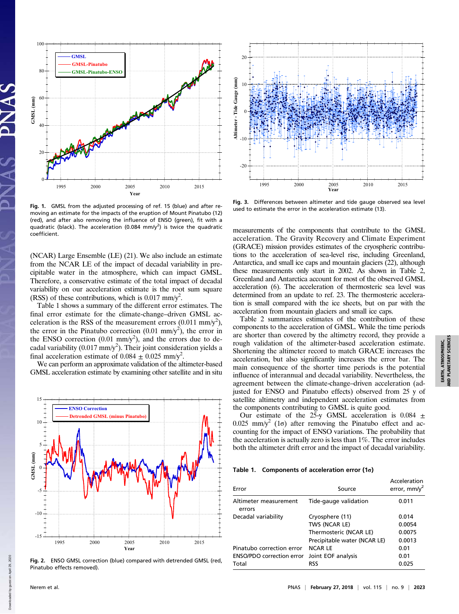

Fig. 1. GMSL from the adjusted processing of ref. 15 (blue) and after removing an estimate for the impacts of the eruption of Mount Pinatubo (12) (red), and after also removing the influence of ENSO (green), fit with a quadratic (black). The acceleration (0.084 mm/y<sup>2</sup>) is twice the quadratic coefficient.

(NCAR) Large Ensemble (LE) (21). We also include an estimate from the NCAR LE of the impact of decadal variability in precipitable water in the atmosphere, which can impact GMSL. Therefore, a conservative estimate of the total impact of decadal variability on our acceleration estimate is the root sum square (RSS) of these contributions, which is  $0.017$  mm/y<sup>2</sup>.

Table 1 shows a summary of the different error estimates. The final error estimate for the climate-change–driven GMSL acceleration is the RSS of the measurement errors  $(0.011 \text{ mm/y}^2)$ , the error in the Pinatubo correction  $(0.01 \text{ mm/y}^2)$ , the error in the ENSO correction  $(0.01 \text{ mm/y}^2)$ , and the errors due to decadal variability (0.017 mm/y<sup>2</sup>). Their joint consideration yields a final acceleration estimate of  $0.084 \pm 0.025$  mm/y<sup>2</sup>.

We can perform an approximate validation of the altimeter-based GMSL acceleration estimate by examining other satellite and in situ



Fig. 2. ENSO GMSL correction (blue) compared with detrended GMSL (red, Pinatubo effects removed).



Fig. 3. Differences between altimeter and tide gauge observed sea level used to estimate the error in the acceleration estimate (13).

measurements of the components that contribute to the GMSL acceleration. The Gravity Recovery and Climate Experiment (GRACE) mission provides estimates of the cryospheric contributions to the acceleration of sea-level rise, including Greenland, Antarctica, and small ice caps and mountain glaciers (22), although these measurements only start in 2002. As shown in Table 2, Greenland and Antarctica account for most of the observed GMSL acceleration (6). The acceleration of thermosteric sea level was determined from an update to ref. 23. The thermosteric acceleration is small compared with the ice sheets, but on par with the acceleration from mountain glaciers and small ice caps.

Table 2 summarizes estimates of the contribution of these components to the acceleration of GMSL. While the time periods are shorter than covered by the altimetry record, they provide a rough validation of the altimeter-based acceleration estimate. Shortening the altimeter record to match GRACE increases the acceleration, but also significantly increases the error bar. The main consequence of the shorter time periods is the potential influence of interannual and decadal variability. Nevertheless, the agreement between the climate-change–driven acceleration (adjusted for ENSO and Pinatubo effects) observed from 25 y of satellite altimetry and independent acceleration estimates from the components contributing to GMSL is quite good.

Our estimate of the 25-y GMSL acceleration is  $0.084 \pm$ 0.025 mm/y<sup>2</sup> (1 $\sigma$ ) after removing the Pinatubo effect and accounting for the impact of ENSO variations. The probability that the acceleration is actually zero is less than 1%. The error includes both the altimeter drift error and the impact of decadal variability.

#### Table 1. Components of acceleration error (1σ)

| Error                            | Source                       | Acceleration<br>error, $mm/v^2$ |
|----------------------------------|------------------------------|---------------------------------|
| Altimeter measurement<br>errors  | Tide-gauge validation        | 0.011                           |
| Decadal variability              | Cryosphere (11)              | 0.014                           |
|                                  | TWS (NCAR LE)                | 0.0054                          |
|                                  | Thermosteric (NCAR LE)       | 0.0075                          |
|                                  | Precipitable water (NCAR LE) | 0.0013                          |
| Pinatubo correction error        | <b>NCARIF</b>                | 0.01                            |
| <b>ENSO/PDO</b> correction error | Joint EOF analysis           | 0.01                            |
| Total                            | RSS                          | 0.025                           |
|                                  |                              |                                 |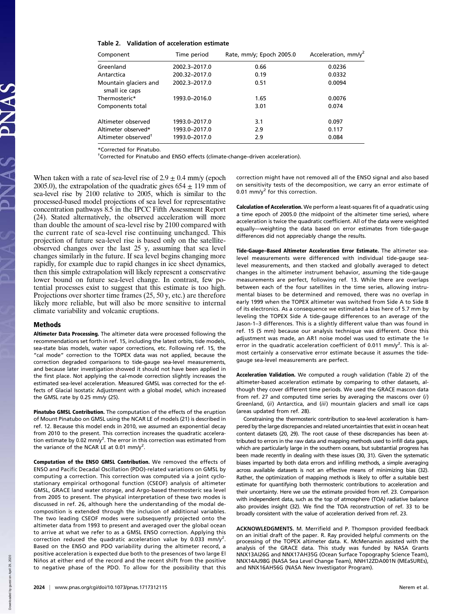| Table 2. Validation of acceleration estimate |  |  |
|----------------------------------------------|--|--|
|----------------------------------------------|--|--|

| Component                               | Time period   | Rate, mm/y; Epoch 2005.0 | Acceleration, mm/y <sup>2</sup> |
|-----------------------------------------|---------------|--------------------------|---------------------------------|
| Greenland                               | 2002.3-2017.0 | 0.66                     | 0.0236                          |
| Antarctica                              | 200.32-2017.0 | 0.19                     | 0.0332                          |
| Mountain glaciers and<br>small ice caps | 2002.3-2017.0 | 0.51                     | 0.0094                          |
| Thermosteric*                           | 1993.0-2016.0 | 1.65                     | 0.0076                          |
| Components total                        |               | 3.01                     | 0.074                           |
| Altimeter observed                      | 1993.0-2017.0 | 3.1                      | 0.097                           |
| Altimeter observed*                     | 1993.0-2017.0 | 2.9                      | 0.117                           |
| Altimeter observed <sup>†</sup>         | 1993.0-2017.0 | 2.9                      | 0.084                           |

\*Corrected for Pinatubo.

† Corrected for Pinatubo and ENSO effects (climate-change–driven acceleration).

When taken with a rate of sea-level rise of  $2.9 \pm 0.4$  mm/y (epoch 2005.0), the extrapolation of the quadratic gives  $654 \pm 119$  mm of sea-level rise by 2100 relative to 2005, which is similar to the processed-based model projections of sea level for representative concentration pathways 8.5 in the IPCC Fifth Assessment Report (24). Stated alternatively, the observed acceleration will more than double the amount of sea-level rise by 2100 compared with the current rate of sea-level rise continuing unchanged. This projection of future sea-level rise is based only on the satelliteobserved changes over the last 25 y, assuming that sea level changes similarly in the future. If sea level begins changing more rapidly, for example due to rapid changes in ice sheet dynamics, then this simple extrapolation will likely represent a conservative lower bound on future sea-level change. In contrast, few potential processes exist to suggest that this estimate is too high. Projections over shorter time frames (25, 50 y, etc.) are therefore likely more reliable, but will also be more sensitive to internal climate variability and volcanic eruptions.

#### Methods

Altimeter Data Processing. The altimeter data were processed following the recommendations set forth in ref. 15, including the latest orbits, tide models, sea-state bias models, water vapor corrections, etc. Following ref. 15, the "cal mode" correction to the TOPEX data was not applied, because the correction degraded comparisons to tide-gauge sea-level measurements, and because later investigation showed it should not have been applied in the first place. Not applying the cal-mode correction slightly increases the estimated sea-level acceleration. Measured GMSL was corrected for the effects of Glacial Isostatic Adjustment with a global model, which increased the GMSL rate by 0.25 mm/y (25).

Pinatubo GMSL Contribution. The computation of the effects of the eruption of Mount Pinatubo on GMSL using the NCAR LE of models (21) is described in ref. 12. Because this model ends in 2010, we assumed an exponential decay from 2010 to the present. This correction increases the quadratic acceleration estimate by 0.02 mm/y<sup>2</sup>. The error in this correction was estimated from the variance of the NCAR LE at 0.01 mm/y<sup>2</sup>.

Computation of the ENSO GMSL Contribution. We removed the effects of ENSO and Pacific Decadal Oscillation (PDO)-related variations on GMSL by computing a correction. This correction was computed via a joint cyclostationary empirical orthogonal function (CSEOF) analysis of altimeter GMSL, GRACE land water storage, and Argo-based thermosteric sea level from 2005 to present. The physical interpretation of these two modes is discussed in ref. 26, although here the understanding of the modal decomposition is extended through the inclusion of additional variables. The two leading CSEOF modes were subsequently projected onto the altimeter data from 1993 to present and averaged over the global ocean to arrive at what we refer to as a GMSL ENSO correction. Applying this correction reduced the quadratic acceleration value by 0.033 mm/y<sup>2</sup>. Based on the ENSO and PDO variability during the altimeter record, a positive acceleration is expected due both to the presences of two large El Niños at either end of the record and the recent shift from the positive to negative phase of the PDO. To allow for the possibility that this correction might have not removed all of the ENSO signal and also based on sensitivity tests of the decomposition, we carry an error estimate of 0.01 mm/ $y^2$  for this correction.

Calculation of Acceleration. We perform a least-squares fit of a quadratic using a time epoch of 2005.0 (the midpoint of the altimeter time series), where acceleration is twice the quadratic coefficient. All of the data were weighted equally––weighting the data based on error estimates from tide-gauge differences did not appreciably change the results.

Tide-Gauge–Based Altimeter Acceleration Error Estimate. The altimeter sealevel measurements were differenced with individual tide-gauge sealevel measurements, and then stacked and globally averaged to detect changes in the altimeter instrument behavior, assuming the tide-gauge measurements are perfect, following ref. 13. While there are overlaps between each of the four satellites in the time series, allowing instrumental biases to be determined and removed, there was no overlap in early 1999 when the TOPEX altimeter was switched from Side A to Side B of its electronics. As a consequence we estimated a bias here of 5.7 mm by leveling the TOPEX Side A tide-gauge differences to an average of the Jason-1–3 differences. This is a slightly different value than was found in ref. 15 (5 mm) because our analysis technique was different. Once this adjustment was made, an AR1 noise model was used to estimate the 1σ error in the quadratic acceleration coefficient of 0.011 mm/y<sup>2</sup>. This is almost certainly a conservative error estimate because it assumes the tidegauge sea-level measurements are perfect.

Acceleration Validation. We computed a rough validation (Table 2) of the altimeter-based acceleration estimate by comparing to other datasets, although they cover different time periods. We used the GRACE mascon data from ref. 27 and computed time series by averaging the mascons over (i) Greenland, (ii) Antarctica, and (iii) mountain glaciers and small ice caps (areas updated from ref. 28).

Constraining the thermosteric contribution to sea-level acceleration is hampered by the large discrepancies and related uncertainties that exist in ocean heat content datasets (20, 29). The root cause of these discrepancies has been attributed to errors in the raw data and mapping methods used to infill data gaps, which are particularly large in the southern oceans, but substantial progress has been made recently in dealing with these issues (30, 31). Given the systematic biases imparted by both data errors and infilling methods, a simple averaging across available datasets is not an effective means of minimizing bias (32). Rather, the optimization of mapping methods is likely to offer a suitable best estimate for quantifying both thermosteric contributions to acceleration and their uncertainty. Here we use the estimate provided from ref. 23. Comparison with independent data, such as the top of atmosphere (TOA) radiative balance also provides insight (32). We find the TOA reconstruction of ref. 33 to be broadly consistent with the value of acceleration derived from ref. 23.

ACKNOWLEDGMENTS. M. Merrifield and P. Thompson provided feedback on an initial draft of the paper. R. Ray provided helpful comments on the processing of the TOPEX altimeter data. K. McMenamin assisted with the analysis of the GRACE data. This study was funded by NASA Grants NNX13AI26G and NNX17AH35G (Ocean Surface Topography Science Team), NNX14AJ98G (NASA Sea Level Change Team), NNH12ZDA001N (MEaSUREs), and NNX16AH56G (NASA New Investigator Program).